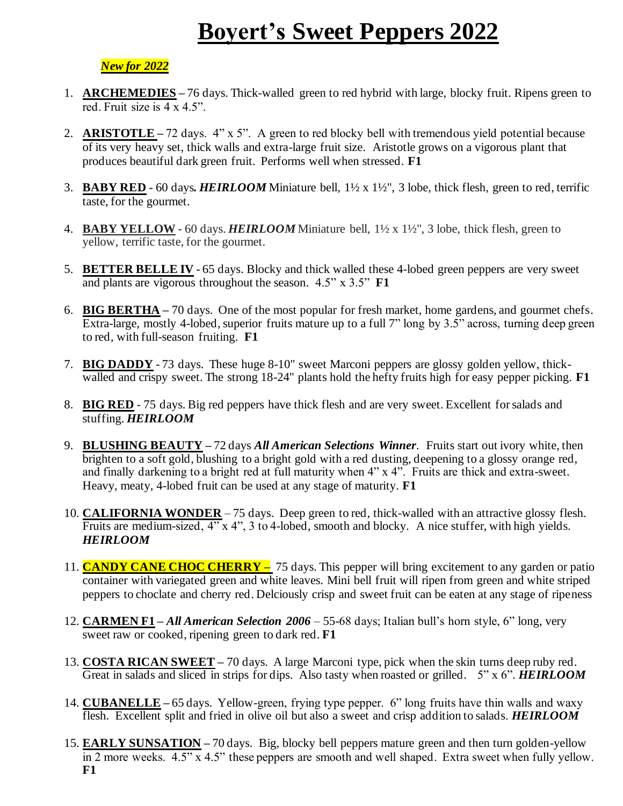## **Boyert's Sweet Peppers 2022**

## *New for 2022*

- 1. **ARCHEMEDIES –** 76 days. Thick-walled green to red hybrid with large, blocky fruit. Ripens green to red. Fruit size is 4 x 4.5".
- 2. **ARISTOTLE –** 72 days. 4" x 5". A green to red blocky bell with tremendous yield potential because of its very heavy set, thick walls and extra-large fruit size. Aristotle grows on a vigorous plant that produces beautiful dark green fruit. Performs well when stressed. **F1**
- 3. **BABY RED** 60 days*. HEIRLOOM* Miniature bell, 1½ x 1½", 3 lobe, thick flesh, green to red, terrific taste, for the gourmet.
- 4. **BABY YELLOW** 60 days. *HEIRLOOM* Miniature bell, 1½ x 1½", 3 lobe, thick flesh, green to yellow, terrific taste, for the gourmet.
- 5. **BETTER BELLE IV** 65 days. Blocky and thick walled these 4-lobed green peppers are very sweet and plants are vigorous throughout the season. 4.5" x 3.5" **F1**
- 6. **BIG BERTHA –** 70 days. One of the most popular for fresh market, home gardens, and gourmet chefs. Extra-large, mostly 4-lobed, superior fruits mature up to a full 7" long by 3.5" across, turning deep green to red, with full-season fruiting. **F1**
- 7. **BIG DADDY** 73 days. These huge 8-10" sweet Marconi peppers are glossy golden yellow, thickwalled and crispy sweet. The strong 18-24" plants hold the hefty fruits high for easy pepper picking. **F1**
- 8. **BIG RED** 75 days. Big red peppers have thick flesh and are very sweet. Excellent for salads and stuffing. *HEIRLOOM*
- 9. **BLUSHING BEAUTY –** 72 days *All American Selections Winner*. Fruits start out ivory white, then brighten to a soft gold, blushing to a bright gold with a red dusting, deepening to a glossy orange red, and finally darkening to a bright red at full maturity when 4" x 4". Fruits are thick and extra-sweet. Heavy, meaty, 4-lobed fruit can be used at any stage of maturity. **F1**
- 10. **CALIFORNIA WONDER** 75 days. Deep green to red, thick-walled with an attractive glossy flesh. Fruits are medium-sized, 4" x 4", 3 to 4-lobed, smooth and blocky. A nice stuffer, with high yields. *HEIRLOOM*
- 11. **CANDY CANE CHOC CHERRY –** 75 days. This pepper will bring excitement to any garden or patio container with variegated green and white leaves. Mini bell fruit will ripen from green and white striped peppers to choclate and cherry red. Delciously crisp and sweet fruit can be eaten at any stage of ripeness
- 12. **CARMEN F1 –** *All American Selection 2006* 55-68 days; Italian bull's horn style, 6" long, very sweet raw or cooked, ripening green to dark red. **F1**
- 13. **COSTA RICAN SWEET –** 70 days. A large Marconi type, pick when the skin turns deep ruby red. Great in salads and sliced in strips for dips. Also tasty when roasted or grilled. 5" x 6". *HEIRLOOM*
- 14. **CUBANELLE –** 65 days. Yellow-green, frying type pepper. 6" long fruits have thin walls and waxy flesh. Excellent split and fried in olive oil but also a sweet and crisp addition to salads. *HEIRLOOM*
- 15. **EARLY SUNSATION –** 70 days. Big, blocky bell peppers mature green and then turn golden-yellow  $\overline{\text{in 2 more weeks. } 4.5$ " x 4.5" these peppers are smooth and well shaped. Extra sweet when fully yellow. **F1**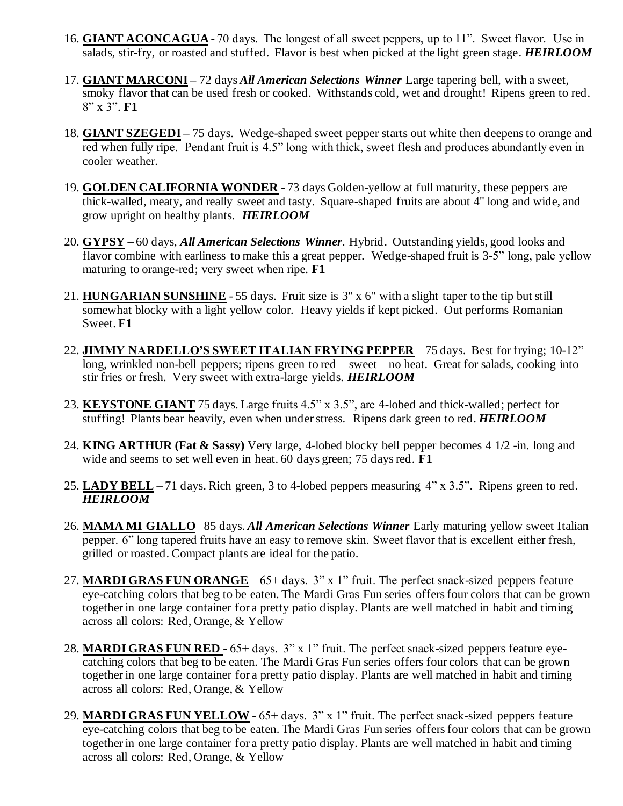- 16. **GIANT ACONCAGUA -** 70 days. The longest of all sweet peppers, up to 11". Sweet flavor. Use in salads, stir-fry, or roasted and stuffed. Flavor is best when picked at the light green stage. *HEIRLOOM*
- 17. **GIANT MARCONI –** 72 days *All American Selections Winner* Large tapering bell, with a sweet, smoky flavor that can be used fresh or cooked. Withstands cold, wet and drought! Ripens green to red. 8" x 3". **F1**
- 18. **GIANT SZEGEDI –** 75 days. Wedge-shaped sweet pepper starts out white then deepens to orange and red when fully ripe. Pendant fruit is 4.5" long with thick, sweet flesh and produces abundantly even in cooler weather.
- 19. **GOLDEN CALIFORNIA WONDER -** 73 days Golden-yellow at full maturity, these peppers are thick-walled, meaty, and really sweet and tasty. Square-shaped fruits are about 4" long and wide, and grow upright on healthy plants. *HEIRLOOM*
- 20. **GYPSY –** 60 days, *All American Selections Winner*. Hybrid. Outstanding yields, good looks and flavor combine with earliness to make this a great pepper. Wedge-shaped fruit is 3-5" long, pale yellow maturing to orange-red; very sweet when ripe. **F1**
- 21. **HUNGARIAN SUNSHINE** 55 days. Fruit size is 3" x 6" with a slight taper to the tip but still somewhat blocky with a light yellow color. Heavy yields if kept picked. Out performs Romanian Sweet. **F1**
- 22. **JIMMY NARDELLO'S SWEET ITALIAN FRYING PEPPER** 75 days. Best for frying; 10-12" long, wrinkled non-bell peppers; ripens green to red – sweet – no heat. Great for salads, cooking into stir fries or fresh. Very sweet with extra-large yields. *HEIRLOOM*
- 23. **KEYSTONE GIANT** 75 days. Large fruits 4.5" x 3.5", are 4-lobed and thick-walled; perfect for stuffing! Plants bear heavily, even when under stress. Ripens dark green to red. *HEIRLOOM*
- 24. **KING ARTHUR (Fat & Sassy)** Very large, 4-lobed blocky bell pepper becomes 4 1/2 -in. long and wide and seems to set well even in heat. 60 days green; 75 days red. **F1**
- 25. **LADY BELL** 71 days. Rich green, 3 to 4-lobed peppers measuring 4" x 3.5". Ripens green to red. *HEIRLOOM*
- 26. **MAMA MI GIALLO** –85 days. *All American Selections Winner* Early maturing yellow sweet Italian pepper. 6" long tapered fruits have an easy to remove skin. Sweet flavor that is excellent either fresh, grilled or roasted. Compact plants are ideal for the patio.
- 27. **MARDI GRAS FUN ORANGE** 65+ days. 3" x 1" fruit. The perfect snack-sized peppers feature eye-catching colors that beg to be eaten. The Mardi Gras Fun series offers four colors that can be grown together in one large container for a pretty patio display. Plants are well matched in habit and timing across all colors: Red, Orange, & Yellow
- 28. **MARDI GRAS FUN RED** 65+ days. 3" x 1" fruit. The perfect snack-sized peppers feature eyecatching colors that beg to be eaten. The Mardi Gras Fun series offers four colors that can be grown together in one large container for a pretty patio display. Plants are well matched in habit and timing across all colors: Red, Orange, & Yellow
- 29. **MARDI GRAS FUN YELLOW** 65+ days. 3" x 1" fruit. The perfect snack-sized peppers feature eye-catching colors that beg to be eaten. The Mardi Gras Fun series offers four colors that can be grown together in one large container for a pretty patio display. Plants are well matched in habit and timing across all colors: Red, Orange, & Yellow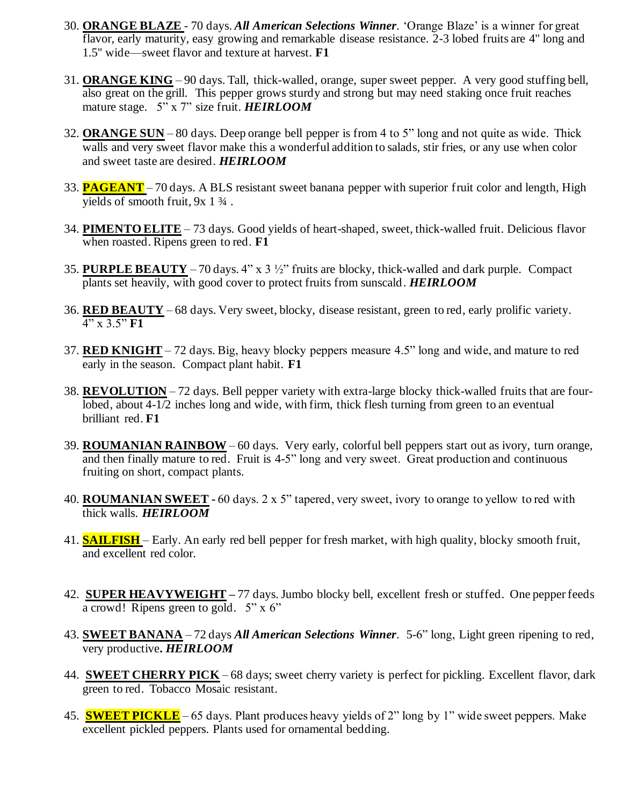- 30. **ORANGE BLAZE**  70 days. *All American Selections Winner*. 'Orange Blaze' is a winner for great flavor, early maturity, easy growing and remarkable disease resistance. 2-3 lobed fruits are 4'' long and 1.5'' wide—sweet flavor and texture at harvest. **F1**
- 31. **ORANGE KING** 90 days. Tall, thick-walled, orange, super sweet pepper. A very good stuffing bell, also great on the grill. This pepper grows sturdy and strong but may need staking once fruit reaches mature stage. 5" x 7" size fruit. *HEIRLOOM*
- 32. **ORANGE SUN** 80 days. Deep orange bell pepper is from 4 to 5" long and not quite as wide. Thick walls and very sweet flavor make this a wonderful addition to salads, stir fries, or any use when color and sweet taste are desired. *HEIRLOOM*
- 33. **PAGEANT** 70 days. A BLS resistant sweet banana pepper with superior fruit color and length, High yields of smooth fruit, 9x 1 ¾ .
- 34. **PIMENTO ELITE** 73 days. Good yields of heart-shaped, sweet, thick-walled fruit. Delicious flavor when roasted. Ripens green to red. **F1**
- 35. **PURPLE BEAUTY** 70 days. 4" x 3 ½" fruits are blocky, thick-walled and dark purple. Compact plants set heavily, with good cover to protect fruits from sunscald. *HEIRLOOM*
- 36. **RED BEAUTY** 68 days. Very sweet, blocky, disease resistant, green to red, early prolific variety. 4" x 3.5" **F1**
- 37. **RED KNIGHT** 72 days. Big, heavy blocky peppers measure 4.5" long and wide, and mature to red early in the season. Compact plant habit. **F1**
- 38. **REVOLUTION** 72 days. Bell pepper variety with extra-large blocky thick-walled fruits that are fourlobed, about 4-1/2 inches long and wide, with firm, thick flesh turning from green to an eventual brilliant red. **F1**
- 39. **ROUMANIAN RAINBOW** 60 days. Very early, colorful bell peppers start out as ivory, turn orange, and then finally mature to red. Fruit is 4-5" long and very sweet. Great production and continuous fruiting on short, compact plants.
- 40. **ROUMANIAN SWEET -** 60 days. 2 x 5" tapered, very sweet, ivory to orange to yellow to red with thick walls. *HEIRLOOM*
- 41. **SAILFISH** Early. An early red bell pepper for fresh market, with high quality, blocky smooth fruit, and excellent red color.
- 42. **SUPER HEAVYWEIGHT –** 77 days.Jumbo blocky bell, excellent fresh or stuffed. One pepper feeds a crowd! Ripens green to gold. 5" x 6"
- 43. **SWEET BANANA** 72 days *All American Selections Winner*. 5-6" long, Light green ripening to red, very productive**.** *HEIRLOOM*
- 44. **SWEET CHERRY PICK** 68 days; sweet cherry variety is perfect for pickling. Excellent flavor, dark green to red. Tobacco Mosaic resistant.
- 45. **SWEET PICKLE** 65 days. Plant produces heavy yields of 2" long by 1" wide sweet peppers. Make excellent pickled peppers. Plants used for ornamental bedding.